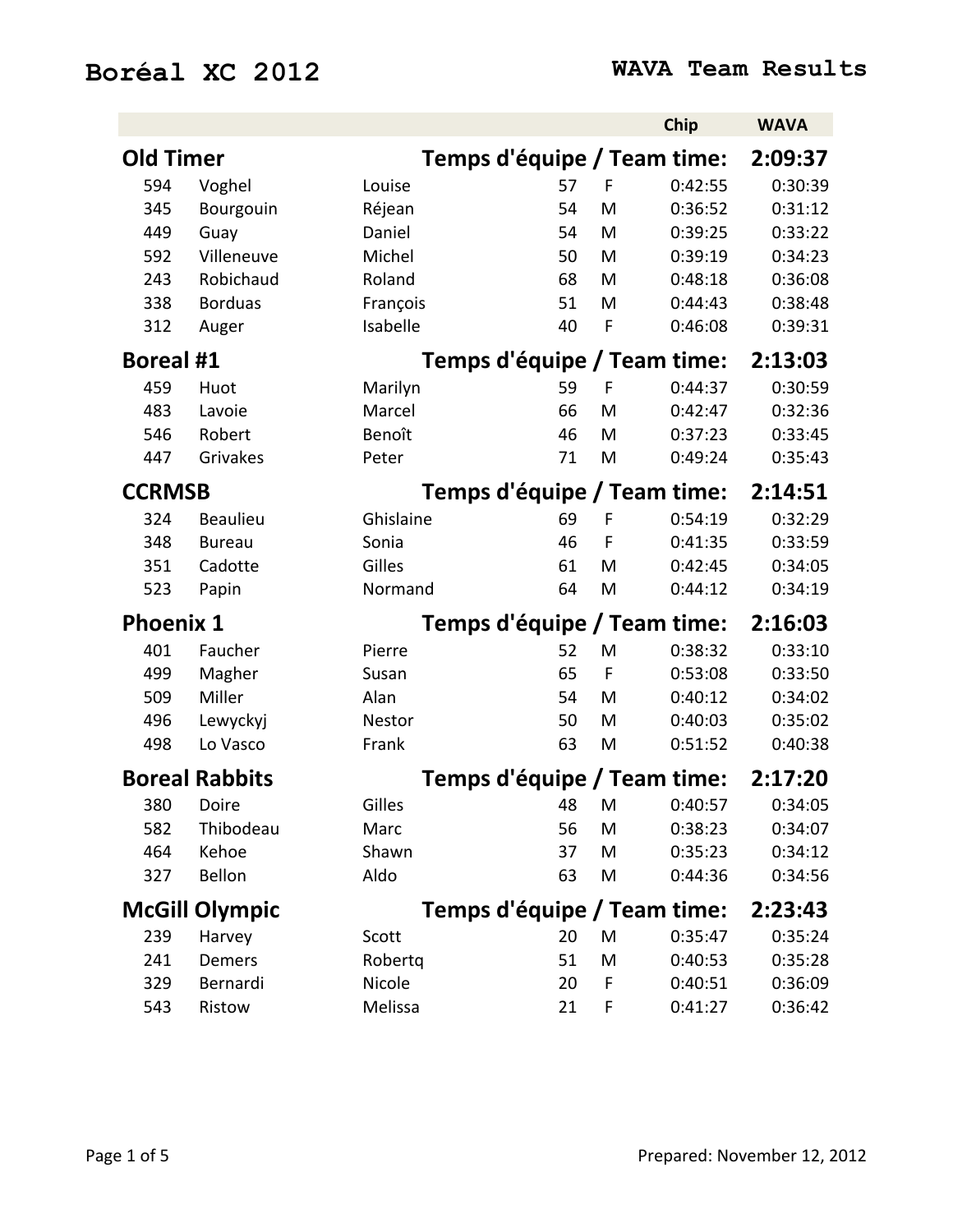## **Boréal XC 2012 WAVA Team Results**

|                  |                       |           |                             |             | Chip         | <b>WAVA</b> |
|------------------|-----------------------|-----------|-----------------------------|-------------|--------------|-------------|
| <b>Old Timer</b> |                       |           | Temps d'équipe / Team time: |             |              | 2:09:37     |
| 594              | Voghel                | Louise    | 57                          | F           | 0:42:55      | 0:30:39     |
| 345              | Bourgouin             | Réjean    | 54                          | M           | 0:36:52      | 0:31:12     |
| 449              | Guay                  | Daniel    | 54                          | M           | 0:39:25      | 0:33:22     |
| 592              | Villeneuve            | Michel    | 50                          | M           | 0:39:19      | 0:34:23     |
| 243              | Robichaud             | Roland    | 68                          | M           | 0:48:18      | 0:36:08     |
| 338              | <b>Borduas</b>        | François  | 51                          | M           | 0:44:43      | 0:38:48     |
| 312              | Auger                 | Isabelle  | 40                          | F           | 0:46:08      | 0:39:31     |
| <b>Boreal #1</b> |                       |           | Temps d'équipe / Team time: |             |              | 2:13:03     |
| 459              | Huot                  | Marilyn   | 59                          | F           | 0:44:37      | 0:30:59     |
| 483              | Lavoie                | Marcel    | 66                          | M           | 0:42:47      | 0:32:36     |
| 546              | Robert                | Benoît    | 46                          | M           | 0:37:23      | 0:33:45     |
| 447              | Grivakes              | Peter     | 71                          | M           | 0:49:24      | 0:35:43     |
| <b>CCRMSB</b>    |                       |           | Temps d'équipe / Team time: |             |              | 2:14:51     |
| 324              | <b>Beaulieu</b>       | Ghislaine | 69                          | F           | 0:54:19      | 0:32:29     |
| 348              | <b>Bureau</b>         | Sonia     | 46                          | F           | 0:41:35      | 0:33:59     |
| 351              | Cadotte               | Gilles    | 61                          | M           | 0:42:45      | 0:34:05     |
| 523              | Papin                 | Normand   | 64                          | M           | 0:44:12      | 0:34:19     |
| <b>Phoenix 1</b> |                       |           | Temps d'équipe / Team time: |             |              | 2:16:03     |
| 401              | Faucher               | Pierre    | 52                          | M           | 0:38:32      | 0:33:10     |
| 499              | Magher                | Susan     | 65                          | $\mathsf F$ | 0:53:08      | 0:33:50     |
| 509              | Miller                | Alan      | 54                          | M           | 0:40:12      | 0:34:02     |
| 496              | Lewyckyj              | Nestor    | 50                          | M           | 0:40:03      | 0:35:02     |
| 498              | Lo Vasco              | Frank     | 63                          | M           | 0:51:52      | 0:40:38     |
|                  | <b>Boreal Rabbits</b> |           | Temps d'équipe / Team time: |             |              | 2:17:20     |
| 380              | Doire                 | Gilles    |                             |             | 48 M 0:40:57 | 0:34:05     |
| 582              | Thibodeau             | Marc      | 56                          | M           | 0:38:23      | 0:34:07     |
| 464              | Kehoe                 | Shawn     | 37                          | M           | 0:35:23      | 0:34:12     |
| 327              | Bellon                | Aldo      | 63                          | M           | 0:44:36      | 0:34:56     |
|                  | <b>McGill Olympic</b> |           | Temps d'équipe / Team time: |             |              | 2:23:43     |
| 239              | Harvey                | Scott     | 20                          | M           | 0:35:47      | 0:35:24     |
| 241              | Demers                | Robertq   | 51                          | M           | 0:40:53      | 0:35:28     |
| 329              | Bernardi              | Nicole    | 20                          | F           | 0:40:51      | 0:36:09     |
| 543              | Ristow                | Melissa   | 21                          | F           | 0:41:27      | 0:36:42     |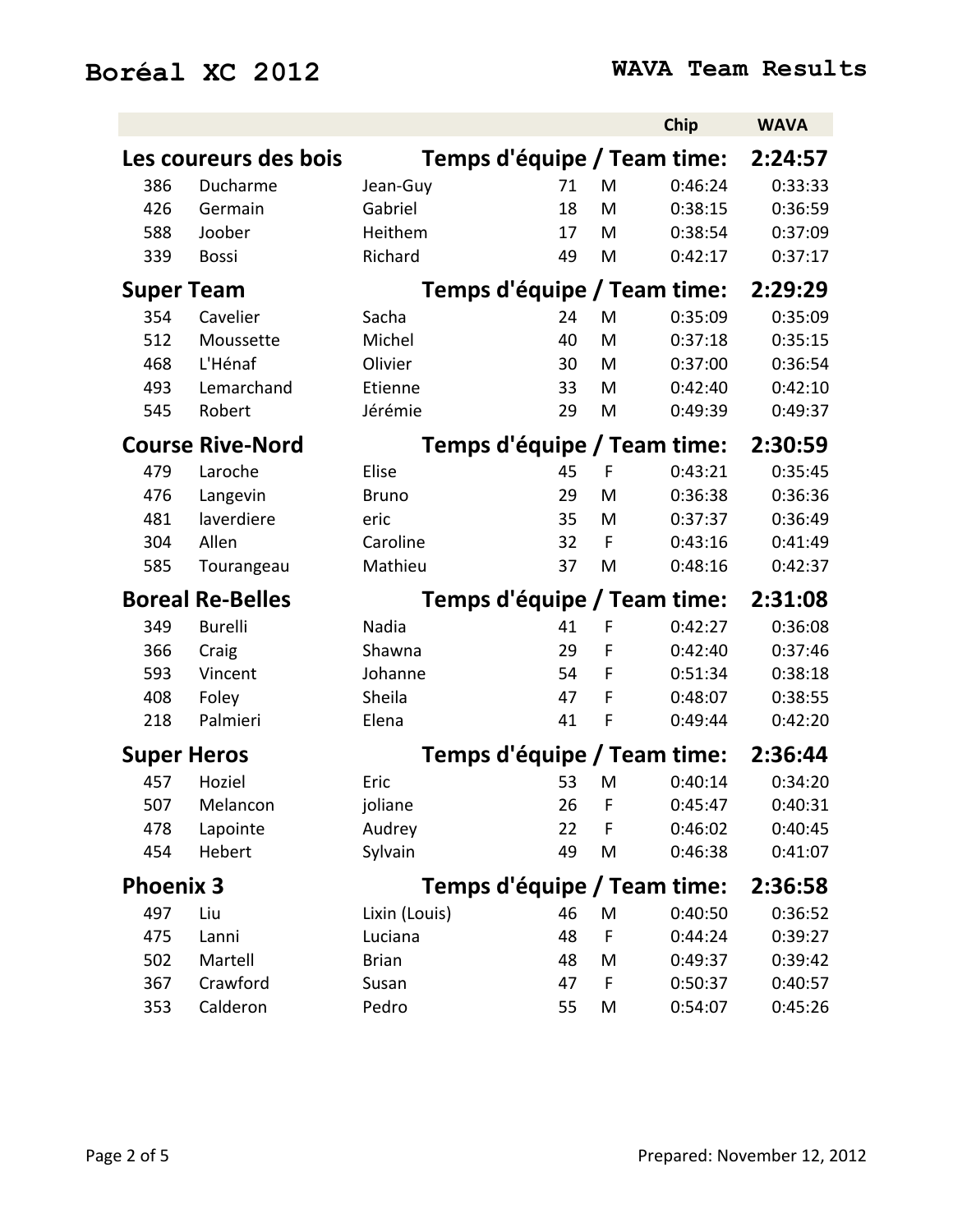|                    |                         |               |    |    | Chip                        | <b>WAVA</b> |
|--------------------|-------------------------|---------------|----|----|-----------------------------|-------------|
|                    | Les coureurs des bois   |               |    |    | Temps d'équipe / Team time: | 2:24:57     |
| 386                | Ducharme                | Jean-Guy      | 71 | M  | 0:46:24                     | 0:33:33     |
| 426                | Germain                 | Gabriel       | 18 | M  | 0:38:15                     | 0:36:59     |
| 588                | Joober                  | Heithem       | 17 | M  | 0:38:54                     | 0:37:09     |
| 339                | <b>Bossi</b>            | Richard       | 49 | M  | 0:42:17                     | 0:37:17     |
| <b>Super Team</b>  |                         |               |    |    | Temps d'équipe / Team time: | 2:29:29     |
| 354                | Cavelier                | Sacha         | 24 | M  | 0:35:09                     | 0:35:09     |
| 512                | Moussette               | Michel        | 40 | M  | 0:37:18                     | 0:35:15     |
| 468                | L'Hénaf                 | Olivier       | 30 | M  | 0:37:00                     | 0:36:54     |
| 493                | Lemarchand              | Etienne       | 33 | M  | 0:42:40                     | 0:42:10     |
| 545                | Robert                  | Jérémie       | 29 | M  | 0:49:39                     | 0:49:37     |
|                    | <b>Course Rive-Nord</b> |               |    |    | Temps d'équipe / Team time: | 2:30:59     |
| 479                | Laroche                 | Elise         | 45 | F  | 0:43:21                     | 0:35:45     |
| 476                | Langevin                | <b>Bruno</b>  | 29 | M  | 0:36:38                     | 0:36:36     |
| 481                | laverdiere              | eric          | 35 | M  | 0:37:37                     | 0:36:49     |
| 304                | Allen                   | Caroline      | 32 | F  | 0:43:16                     | 0:41:49     |
| 585                | Tourangeau              | Mathieu       | 37 | M  | 0:48:16                     | 0:42:37     |
|                    | <b>Boreal Re-Belles</b> |               |    |    | Temps d'équipe / Team time: | 2:31:08     |
| 349                | <b>Burelli</b>          | Nadia         | 41 | F  | 0:42:27                     | 0:36:08     |
| 366                | Craig                   | Shawna        | 29 | F  | 0:42:40                     | 0:37:46     |
| 593                | Vincent                 | Johanne       | 54 | F  | 0:51:34                     | 0:38:18     |
| 408                | Foley                   | Sheila        | 47 | F  | 0:48:07                     | 0:38:55     |
| 218                | Palmieri                | Elena         | 41 | F  | 0:49:44                     | 0:42:20     |
| <b>Super Heros</b> |                         |               |    |    | Temps d'équipe / Team time: | 2:36:44     |
| 457                | Hoziel                  | Eric          | 53 | M  | 0:40:14                     | 0:34:20     |
| 507                | Melancon                | joliane       | 26 | -F | 0:45:47                     | 0:40:31     |
| 478                | Lapointe                | Audrey        | 22 | F  | 0:46:02                     | 0:40:45     |
| 454                | Hebert                  | Sylvain       | 49 | M  | 0:46:38                     | 0:41:07     |
| <b>Phoenix 3</b>   |                         |               |    |    | Temps d'équipe / Team time: | 2:36:58     |
| 497                | Liu                     | Lixin (Louis) | 46 | M  | 0:40:50                     | 0:36:52     |
| 475                | Lanni                   | Luciana       | 48 | F  | 0:44:24                     | 0:39:27     |
| 502                | Martell                 | <b>Brian</b>  | 48 | M  | 0:49:37                     | 0:39:42     |
| 367                | Crawford                | Susan         | 47 | F  | 0:50:37                     | 0:40:57     |
| 353                | Calderon                | Pedro         | 55 | M  | 0:54:07                     | 0:45:26     |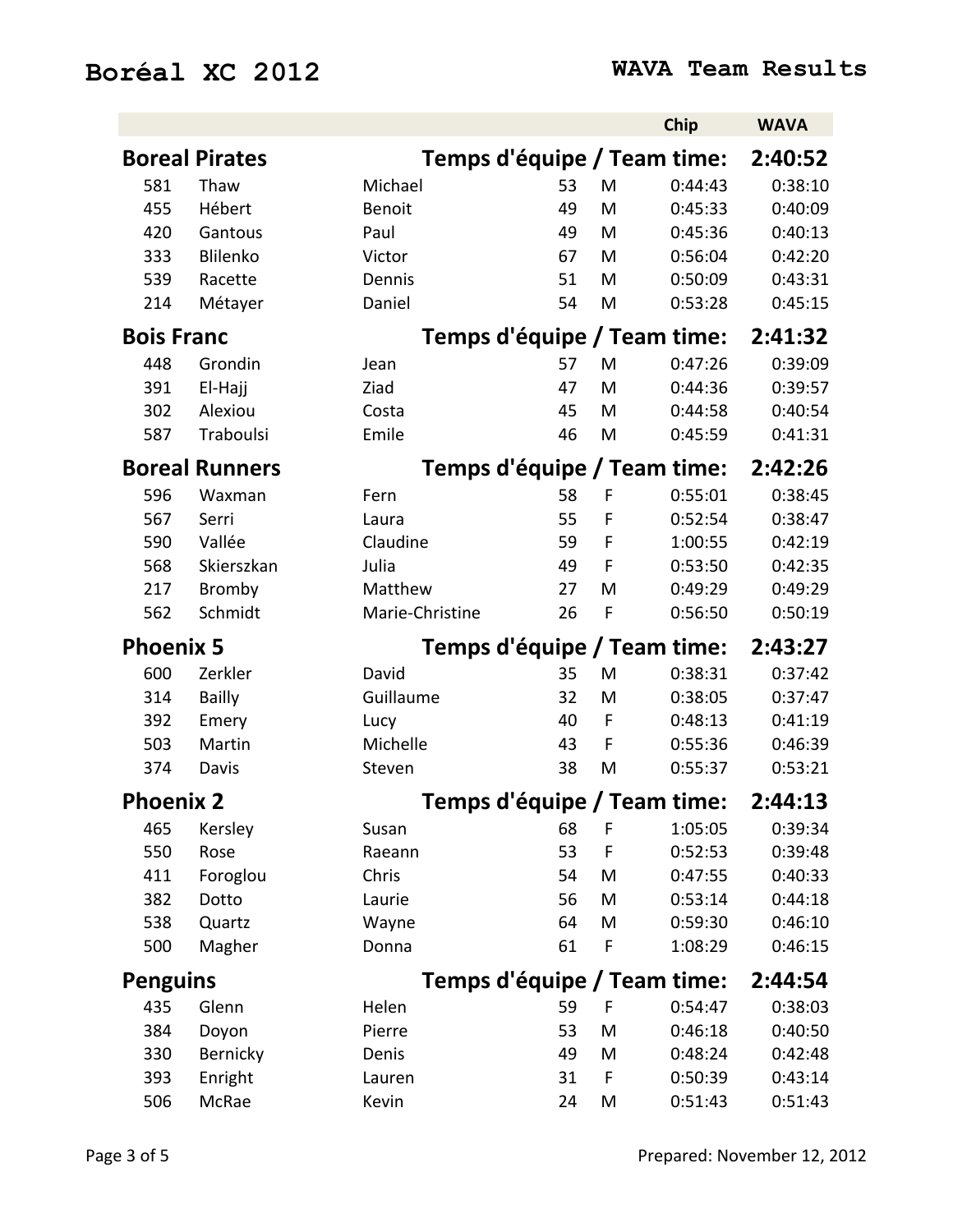|                   |                       |                 |    |   | Chip                        | <b>WAVA</b> |
|-------------------|-----------------------|-----------------|----|---|-----------------------------|-------------|
|                   | <b>Boreal Pirates</b> |                 |    |   | Temps d'équipe / Team time: | 2:40:52     |
| 581               | Thaw                  | Michael         | 53 | M | 0:44:43                     | 0:38:10     |
| 455               | Hébert                | <b>Benoit</b>   | 49 | M | 0:45:33                     | 0:40:09     |
| 420               | Gantous               | Paul            | 49 | M | 0:45:36                     | 0:40:13     |
| 333               | Blilenko              | Victor          | 67 | M | 0:56:04                     | 0:42:20     |
| 539               | Racette               | Dennis          | 51 | M | 0:50:09                     | 0:43:31     |
| 214               | Métayer               | Daniel          | 54 | M | 0:53:28                     | 0:45:15     |
| <b>Bois Franc</b> |                       |                 |    |   | Temps d'équipe / Team time: | 2:41:32     |
| 448               | Grondin               | Jean            | 57 | M | 0:47:26                     | 0:39:09     |
| 391               | El-Hajj               | Ziad            | 47 | M | 0:44:36                     | 0:39:57     |
| 302               | Alexiou               | Costa           | 45 | M | 0:44:58                     | 0:40:54     |
| 587               | Traboulsi             | Emile           | 46 | M | 0:45:59                     | 0:41:31     |
|                   | <b>Boreal Runners</b> |                 |    |   | Temps d'équipe / Team time: | 2:42:26     |
| 596               | Waxman                | Fern            | 58 | F | 0:55:01                     | 0:38:45     |
| 567               | Serri                 | Laura           | 55 | F | 0:52:54                     | 0:38:47     |
| 590               | Vallée                | Claudine        | 59 | F | 1:00:55                     | 0:42:19     |
| 568               | Skierszkan            | Julia           | 49 | F | 0:53:50                     | 0:42:35     |
| 217               | <b>Bromby</b>         | Matthew         | 27 | M | 0:49:29                     | 0:49:29     |
| 562               | Schmidt               | Marie-Christine | 26 | F | 0:56:50                     | 0:50:19     |
| <b>Phoenix 5</b>  |                       |                 |    |   | Temps d'équipe / Team time: | 2:43:27     |
| 600               | Zerkler               | David           | 35 | M | 0:38:31                     | 0:37:42     |
| 314               | <b>Bailly</b>         | Guillaume       | 32 | M | 0:38:05                     | 0:37:47     |
| 392               | Emery                 | Lucy            | 40 | F | 0:48:13                     | 0:41:19     |
| 503               | Martin                | Michelle        | 43 | F | 0:55:36                     | 0:46:39     |
| 374               | Davis                 | Steven          | 38 | M | 0:55:37                     | 0:53:21     |
| <b>Phoenix 2</b>  |                       |                 |    |   | Temps d'équipe / Team time: | 2:44:13     |
| 465               | Kersley               | Susan           | 68 | Е | 1:05:05                     | 0:39:34     |
| 550               | Rose                  | Raeann          | 53 | F | 0:52:53                     | 0:39:48     |
| 411               | Foroglou              | Chris           | 54 | M | 0:47:55                     | 0:40:33     |
| 382               | Dotto                 | Laurie          | 56 | M | 0:53:14                     | 0:44:18     |
| 538               | Quartz                | Wayne           | 64 | M | 0:59:30                     | 0:46:10     |
| 500               | Magher                | Donna           | 61 | F | 1:08:29                     | 0:46:15     |
| <b>Penguins</b>   |                       |                 |    |   | Temps d'équipe / Team time: | 2:44:54     |
| 435               | Glenn                 | Helen           | 59 | F | 0:54:47                     | 0:38:03     |
| 384               | Doyon                 | Pierre          | 53 | M | 0:46:18                     | 0:40:50     |
| 330               | Bernicky              | Denis           | 49 | M | 0:48:24                     | 0:42:48     |
| 393               | Enright               | Lauren          | 31 | F | 0:50:39                     | 0:43:14     |
| 506               | McRae                 | Kevin           | 24 | M | 0:51:43                     | 0:51:43     |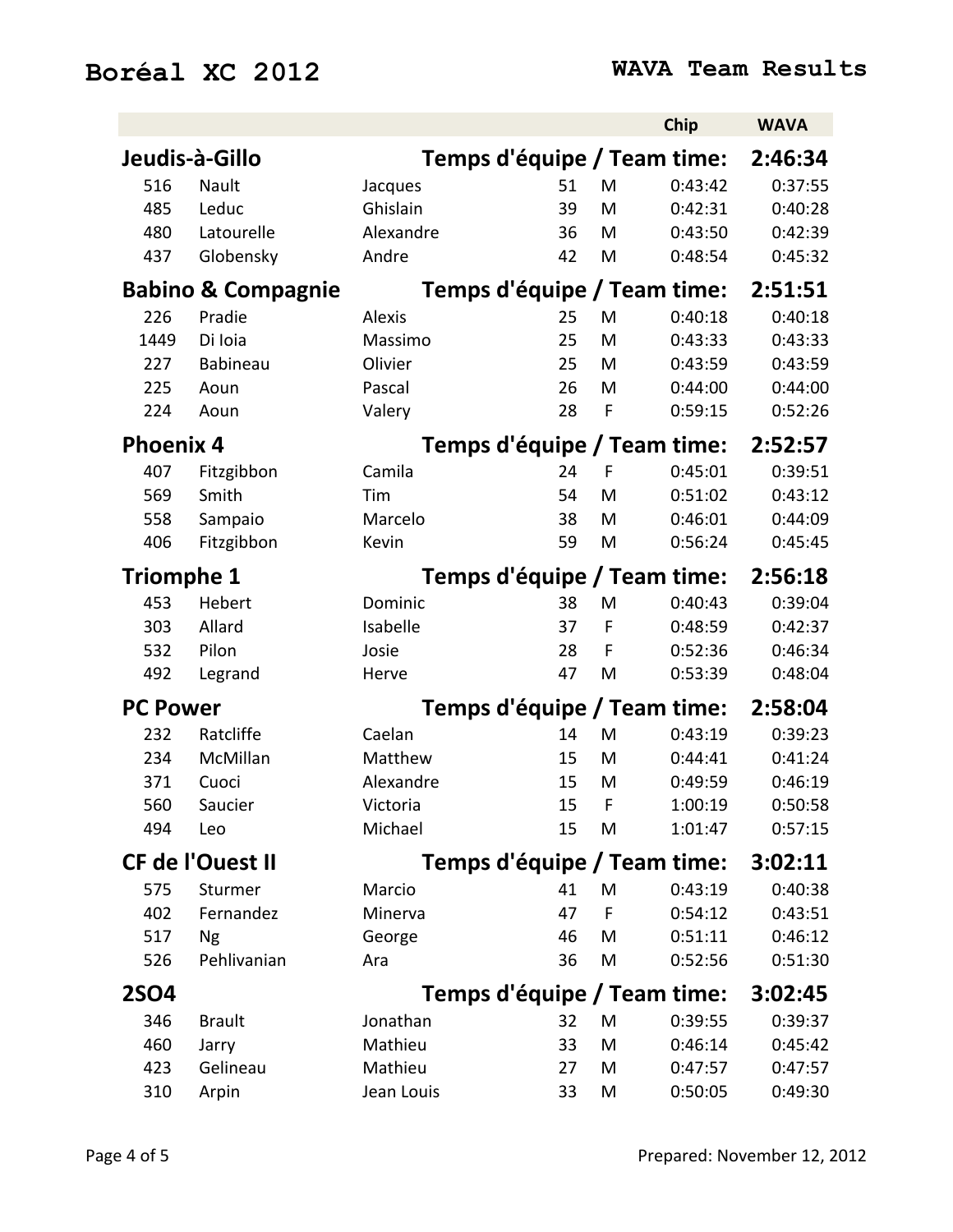|                   |                               |            |    |   | Chip                        | <b>WAVA</b> |
|-------------------|-------------------------------|------------|----|---|-----------------------------|-------------|
|                   | Jeudis-à-Gillo                |            |    |   | Temps d'équipe / Team time: | 2:46:34     |
| 516               | Nault                         | Jacques    | 51 | M | 0:43:42                     | 0:37:55     |
| 485               | Leduc                         | Ghislain   | 39 | M | 0:42:31                     | 0:40:28     |
| 480               | Latourelle                    | Alexandre  | 36 | M | 0:43:50                     | 0:42:39     |
| 437               | Globensky                     | Andre      | 42 | M | 0:48:54                     | 0:45:32     |
|                   | <b>Babino &amp; Compagnie</b> |            |    |   | Temps d'équipe / Team time: | 2:51:51     |
| 226               | Pradie                        | Alexis     | 25 | M | 0:40:18                     | 0:40:18     |
| 1449              | Di Ioia                       | Massimo    | 25 | M | 0:43:33                     | 0:43:33     |
| 227               | <b>Babineau</b>               | Olivier    | 25 | M | 0:43:59                     | 0:43:59     |
| 225               | Aoun                          | Pascal     | 26 | M | 0:44:00                     | 0:44:00     |
| 224               | Aoun                          | Valery     | 28 | F | 0:59:15                     | 0:52:26     |
| <b>Phoenix 4</b>  |                               |            |    |   | Temps d'équipe / Team time: | 2:52:57     |
| 407               | Fitzgibbon                    | Camila     | 24 | F | 0:45:01                     | 0:39:51     |
| 569               | Smith                         | Tim        | 54 | M | 0:51:02                     | 0:43:12     |
| 558               | Sampaio                       | Marcelo    | 38 | M | 0:46:01                     | 0:44:09     |
| 406               | Fitzgibbon                    | Kevin      | 59 | M | 0:56:24                     | 0:45:45     |
| <b>Triomphe 1</b> |                               |            |    |   | Temps d'équipe / Team time: | 2:56:18     |
| 453               | Hebert                        | Dominic    | 38 | M | 0:40:43                     | 0:39:04     |
| 303               | Allard                        | Isabelle   | 37 | F | 0:48:59                     | 0:42:37     |
| 532               | Pilon                         | Josie      | 28 | F | 0:52:36                     | 0:46:34     |
| 492               | Legrand                       | Herve      | 47 | M | 0:53:39                     | 0:48:04     |
| <b>PC Power</b>   |                               |            |    |   | Temps d'équipe / Team time: | 2:58:04     |
| 232               | Ratcliffe                     | Caelan     | 14 | M | 0:43:19                     | 0:39:23     |
| 234               | McMillan                      | Matthew    | 15 | M | 0:44:41                     | 0:41:24     |
| 371               | Cuoci                         | Alexandre  | 15 | M | 0:49:59                     | 0:46:19     |
| 560               | Saucier                       | Victoria   | 15 | F | 1:00:19                     | 0:50:58     |
| 494               | Leo                           | Michael    | 15 | M | 1:01:47                     | 0:57:15     |
|                   | <b>CF de l'Ouest II</b>       |            |    |   | Temps d'équipe / Team time: | 3:02:11     |
| 575               | Sturmer                       | Marcio     | 41 | M | 0:43:19                     | 0:40:38     |
| 402               | Fernandez                     | Minerva    | 47 | F | 0:54:12                     | 0:43:51     |
| 517               | <b>Ng</b>                     | George     | 46 | M | 0:51:11                     | 0:46:12     |
| 526               | Pehlivanian                   | Ara        | 36 | M | 0:52:56                     | 0:51:30     |
| <b>2SO4</b>       |                               |            |    |   | Temps d'équipe / Team time: | 3:02:45     |
| 346               | <b>Brault</b>                 | Jonathan   | 32 | M | 0:39:55                     | 0:39:37     |
| 460               | Jarry                         | Mathieu    | 33 | M | 0:46:14                     | 0:45:42     |
| 423               | Gelineau                      | Mathieu    | 27 | M | 0:47:57                     | 0:47:57     |
| 310               | Arpin                         | Jean Louis | 33 | M | 0:50:05                     | 0:49:30     |